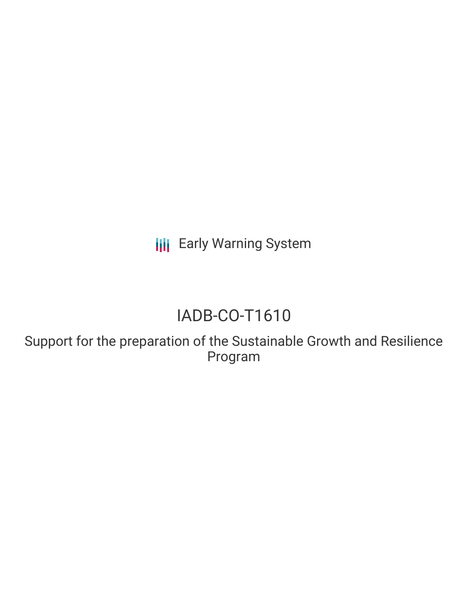**III** Early Warning System

# IADB-CO-T1610

Support for the preparation of the Sustainable Growth and Resilience Program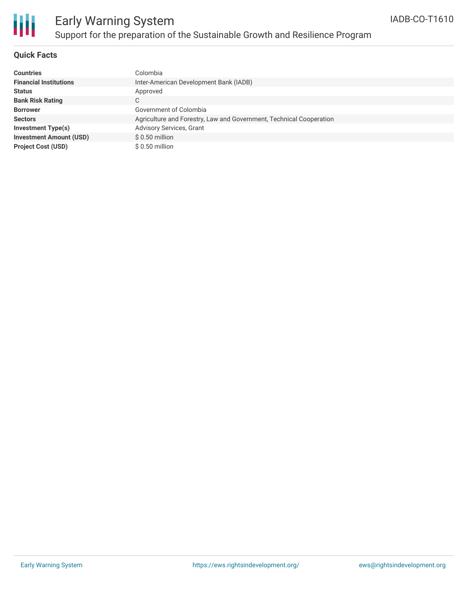

# Early Warning System Support for the preparation of the Sustainable Growth and Resilience Program

### **Quick Facts**

| <b>Countries</b>               | Colombia                                                            |
|--------------------------------|---------------------------------------------------------------------|
| <b>Financial Institutions</b>  | Inter-American Development Bank (IADB)                              |
| <b>Status</b>                  | Approved                                                            |
| <b>Bank Risk Rating</b>        | $\sim$<br>◡                                                         |
| <b>Borrower</b>                | Government of Colombia                                              |
| <b>Sectors</b>                 | Agriculture and Forestry, Law and Government, Technical Cooperation |
| Investment Type(s)             | <b>Advisory Services, Grant</b>                                     |
| <b>Investment Amount (USD)</b> | $$0.50$ million                                                     |
| <b>Project Cost (USD)</b>      | $$0.50$ million                                                     |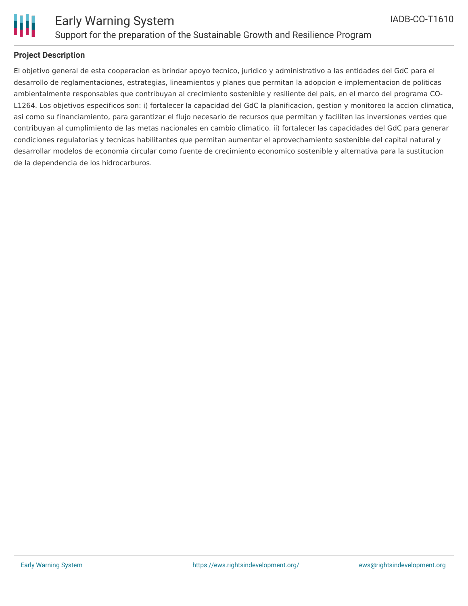

### **Project Description**

El objetivo general de esta cooperacion es brindar apoyo tecnico, juridico y administrativo a las entidades del GdC para el desarrollo de reglamentaciones, estrategias, lineamientos y planes que permitan la adopcion e implementacion de politicas ambientalmente responsables que contribuyan al crecimiento sostenible y resiliente del pais, en el marco del programa CO-L1264. Los objetivos especificos son: i) fortalecer la capacidad del GdC la planificacion, gestion y monitoreo la accion climatica, asi como su financiamiento, para garantizar el flujo necesario de recursos que permitan y faciliten las inversiones verdes que contribuyan al cumplimiento de las metas nacionales en cambio climatico. ii) fortalecer las capacidades del GdC para generar condiciones regulatorias y tecnicas habilitantes que permitan aumentar el aprovechamiento sostenible del capital natural y desarrollar modelos de economia circular como fuente de crecimiento economico sostenible y alternativa para la sustitucion de la dependencia de los hidrocarburos.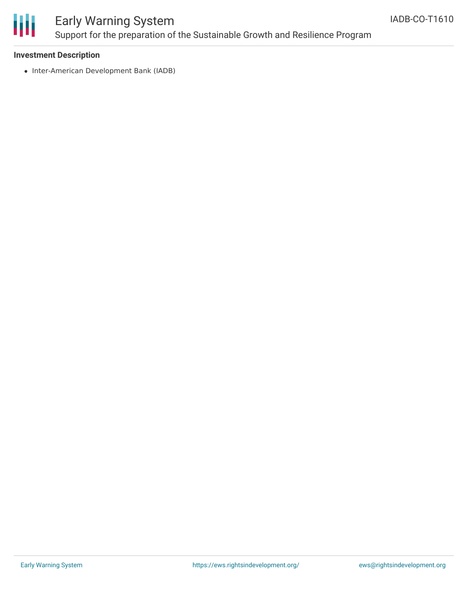

# Early Warning System Support for the preparation of the Sustainable Growth and Resilience Program

#### **Investment Description**

• Inter-American Development Bank (IADB)